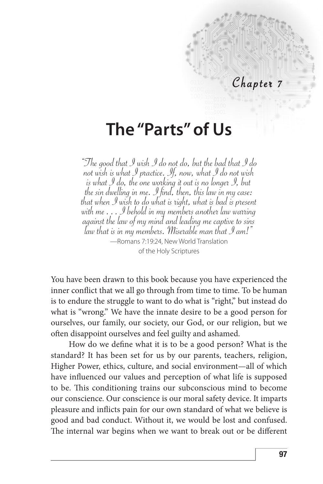#### Chapter 7

# **The "Parts" of Us**

"The good that I wish I do not do, but the bad that I do not wish is what I practice. If, now, what I do not wish is what I do, the one working it out is no longer I, but the sin dwelling in me. I find, then, this law in my case: that when I wish to do what is right, what is bad is present against the law of my mind and leading me captive to sins law that is in my members. Miserable man that  $\mathcal I$  am!" —Romans 7:19:24, New World Translation of the Holy Scriptures

You have been drawn to this book because you have experienced the inner conflict that we all go through from time to time. To be human is to endure the struggle to want to do what is "right," but instead do what is "wrong." We have the innate desire to be a good person for ourselves, our family, our society, our God, or our religion, but we often disappoint ourselves and feel guilty and ashamed.

How do we define what it is to be a good person? What is the standard? It has been set for us by our parents, teachers, religion, Higher Power, ethics, culture, and social environment—all of which have influenced our values and perception of what life is supposed to be. This conditioning trains our subconscious mind to become our conscience. Our conscience is our moral safety device. It imparts pleasure and inflicts pain for our own standard of what we believe is good and bad conduct. Without it, we would be lost and confused. The internal war begins when we want to break out or be different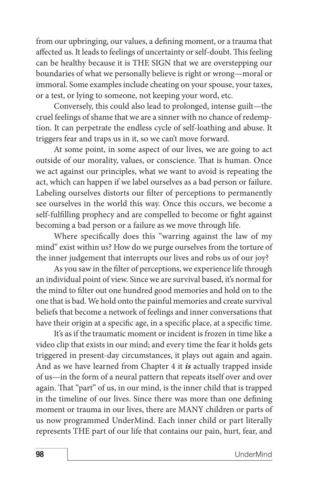from our upbringing, our values, a defining moment, or a trauma that affected us. It leads to feelings of uncertainty or self-doubt. This feeling can be healthy because it is THE SIGN that we are overstepping our boundaries of what we personally believe is right or wrong—moral or immoral. Some examples include cheating on your spouse, your taxes, or a test, or lying to someone, not keeping your word, etc.

Conversely, this could also lead to prolonged, intense guilt—the cruel feelings of shame that we are a sinner with no chance of redemption. It can perpetrate the endless cycle of self-loathing and abuse. It triggers fear and traps us in it, so we can't move forward.

At some point, in some aspect of our lives, we are going to act outside of our morality, values, or conscience. That is human. Once we act against our principles, what we want to avoid is repeating the act, which can happen if we label ourselves as a bad person or failure. Labeling ourselves distorts our filter of perceptions to permanently see ourselves in the world this way. Once this occurs, we become a self-fulfilling prophecy and are compelled to become or fight against becoming a bad person or a failure as we move through life.

Where specifically does this "warring against the law of my mind" exist within us? How do we purge ourselves from the torture of the inner judgement that interrupts our lives and robs us of our joy?

As you saw in the filter of perceptions, we experience life through an individual point of view. Since we are survival based, it's normal for the mind to filter out one hundred good memories and hold on to the one that is bad. We hold onto the painful memories and create survival beliefs that become a network of feelings and inner conversations that have their origin at a specific age, in a specific place, at a specific time.

It's as if the traumatic moment or incident is frozen in time like a video clip that exists in our mind; and every time the fear it holds gets triggered in present-day circumstances, it plays out again and again. And as we have learned from Chapter 4 it *is* actually trapped inside of us—in the form of a neural pattern that repeats itself over and over again. That "part" of us, in our mind, is the inner child that is trapped in the timeline of our lives. Since there was more than one defining moment or trauma in our lives, there are MANY children or parts of us now programmed UnderMind. Each inner child or part literally represents THE part of our life that contains our pain, hurt, fear, and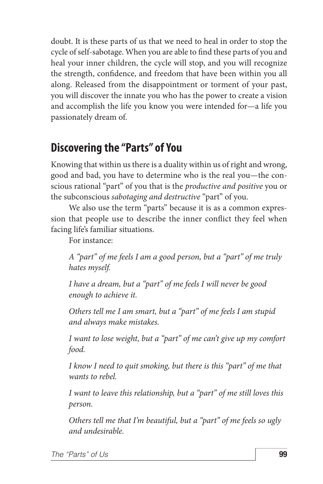doubt. It is these parts of us that we need to heal in order to stop the cycle of self-sabotage. When you are able to find these parts of you and heal your inner children, the cycle will stop, and you will recognize the strength, confidence, and freedom that have been within you all along. Released from the disappointment or torment of your past, you will discover the innate you who has the power to create a vision and accomplish the life you know you were intended for—a life you passionately dream of.

### **Discovering the "Parts" of You**

Knowing that within us there is a duality within us of right and wrong, good and bad, you have to determine who is the real you—the conscious rational "part" of you that is the *productive and positive* you or the subconscious *sabotaging and destructive* "part" of you.

We also use the term "parts" because it is as a common expression that people use to describe the inner conflict they feel when facing life's familiar situations.

For instance:

*A "part" of me feels I am a good person, but a "part" of me truly hates myself.*

*I have a dream, but a "part" of me feels I will never be good enough to achieve it.*

*Others tell me I am smart, but a "part" of me feels I am stupid and always make mistakes.*

*I want to lose weight, but a "part" of me can't give up my comfort food.*

*I know I need to quit smoking, but there is this "part" of me that wants to rebel.*

*I want to leave this relationship, but a "part" of me still loves this person.*

*Others tell me that I'm beautiful, but a "part" of me feels so ugly and undesirable.*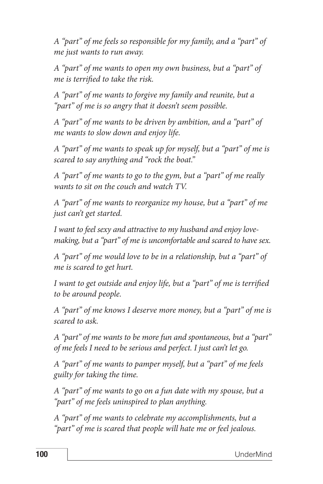*A "part" of me feels so responsible for my family, and a "part" of me just wants to run away.*

*A "part" of me wants to open my own business, but a "part" of me is terrified to take the risk.*

*A "part" of me wants to forgive my family and reunite, but a "part" of me is so angry that it doesn't seem possible.*

*A "part" of me wants to be driven by ambition, and a "part" of me wants to slow down and enjoy life.*

*A "part" of me wants to speak up for myself, but a "part" of me is scared to say anything and "rock the boat."*

*A "part" of me wants to go to the gym, but a "part" of me really wants to sit on the couch and watch TV.*

*A "part" of me wants to reorganize my house, but a "part" of me just can't get started.*

*I want to feel sexy and attractive to my husband and enjoy lovemaking, but a "part" of me is uncomfortable and scared to have sex.*

*A "part" of me would love to be in a relationship, but a "part" of me is scared to get hurt.*

*I want to get outside and enjoy life, but a "part" of me is terrified to be around people.*

*A "part" of me knows I deserve more money, but a "part" of me is scared to ask.*

*A "part" of me wants to be more fun and spontaneous, but a "part" of me feels I need to be serious and perfect. I just can't let go.*

*A "part" of me wants to pamper myself, but a "part" of me feels guilty for taking the time.*

*A "part" of me wants to go on a fun date with my spouse, but a "part" of me feels uninspired to plan anything.*

*A "part" of me wants to celebrate my accomplishments, but a "part" of me is scared that people will hate me or feel jealous.*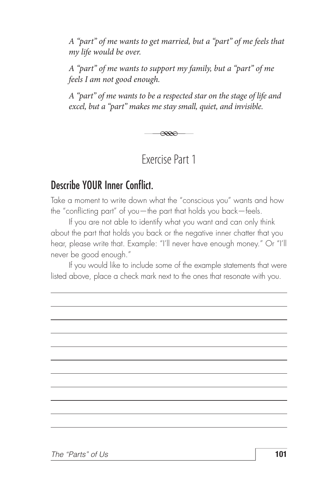*A "part" of me wants to get married, but a "part" of me feels that my life would be over.*

*A "part" of me wants to support my family, but a "part" of me feels I am not good enough.*

*A "part" of me wants to be a respected star on the stage of life and excel, but a "part" makes me stay small, quiet, and invisible.*

 $\overline{\alpha}$ 

Exercise Part 1

#### Describe YOUR Inner Conflict.

Take a moment to write down what the "conscious you" wants and how the "conflicting part" of you—the part that holds you back—feels.

If you are not able to identify what you want and can only think about the part that holds you back or the negative inner chatter that you hear, please write that. Example: "I'll never have enough money." Or "I'll never be good enough."

If you would like to include some of the example statements that were listed above, place a check mark next to the ones that resonate with you.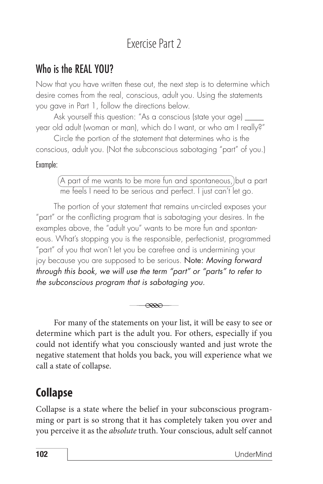# Exercise Part 2

#### Who is the REAL YOU?

Now that you have written these out, the next step is to determine which desire comes from the real, conscious, adult you. Using the statements you gave in Part 1, follow the directions below.

Ask yourself this question: "As a conscious (state your age) \_\_\_\_\_ year old adult (woman or man), which do I want, or who am I really?"

Circle the portion of the statement that determines who is the conscious, adult you. (Not the subconscious sabotaging "part" of you.)

#### Example:

A part of me wants to be more fun and spontaneous, but a part me feels I need to be serious and perfect. I just can't let go.

The portion of your statement that remains un-circled exposes your "part" or the conflicting program that is sabotaging your desires. In the examples above, the "adult you" wants to be more fun and spontaneous. What's stopping you is the responsible, perfectionist, programmed "part" of you that won't let you be carefree and is undermining your joy because you are supposed to be serious. Note: *Moving forward through this book, we will use the term "part" or "parts" to refer to the subconscious program that is sabotaging you.*



For many of the statements on your list, it will be easy to see or determine which part is the adult you. For others, especially if you could not identify what you consciously wanted and just wrote the negative statement that holds you back, you will experience what we call a state of collapse.

# **Collapse**

Collapse is a state where the belief in your subconscious programming or part is so strong that it has completely taken you over and you perceive it as the *absolute* truth. Your conscious, adult self cannot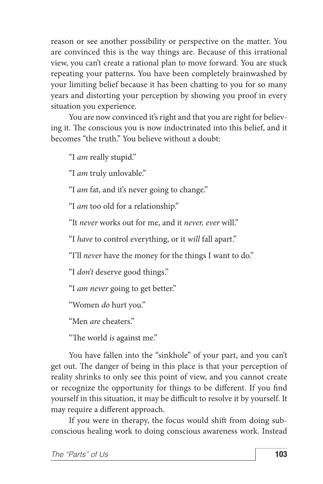reason or see another possibility or perspective on the matter. You are convinced this is the way things are. Because of this irrational view, you can't create a rational plan to move forward. You are stuck repeating your patterns. You have been completely brainwashed by your limiting belief because it has been chatting to you for so many years and distorting your perception by showing you proof in every situation you experience.

You are now convinced it's right and that you are right for believing it. The conscious you is now indoctrinated into this belief, and it becomes "the truth." You believe without a doubt:

"I *am* really stupid."

"I *am* truly unlovable."

"I *am* fat, and it's never going to change."

"I *am* too old for a relationship."

"It *never* works out for me, and it *never, ever* will."

"I *have* to control everything, or it *will* fall apart."

"I'll *never* have the money for the things I want to do."

"I *don't* deserve good things."

"I *am never* going to get better."

"Women *do* hurt you."

"Men *are* cheaters."

"The world *is* against me."

You have fallen into the "sinkhole" of your part, and you can't get out. The danger of being in this place is that your perception of reality shrinks to only see this point of view, and you cannot create or recognize the opportunity for things to be different. If you find yourself in this situation, it may be difficult to resolve it by yourself. It may require a different approach.

If you were in therapy, the focus would shift from doing subconscious healing work to doing conscious awareness work. Instead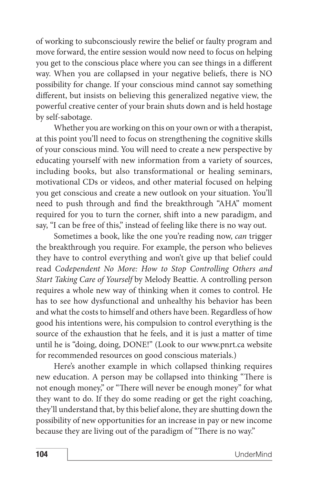of working to subconsciously rewire the belief or faulty program and move forward, the entire session would now need to focus on helping you get to the conscious place where you can see things in a different way. When you are collapsed in your negative beliefs, there is NO possibility for change. If your conscious mind cannot say something different, but insists on believing this generalized negative view, the powerful creative center of your brain shuts down and is held hostage by self-sabotage.

Whether you are working on this on your own or with a therapist, at this point you'll need to focus on strengthening the cognitive skills of your conscious mind. You will need to create a new perspective by educating yourself with new information from a variety of sources, including books, but also transformational or healing seminars, motivational CDs or videos, and other material focused on helping you get conscious and create a new outlook on your situation. You'll need to push through and find the breakthrough "AHA" moment required for you to turn the corner, shift into a new paradigm, and say, "I can be free of this," instead of feeling like there is no way out.

Sometimes a book, like the one you're reading now, *can* trigger the breakthrough you require. For example, the person who believes they have to control everything and won't give up that belief could read *Codependent No More: How to Stop Controlling Others and Start Taking Care of Yourself* by Melody Beattie. A controlling person requires a whole new way of thinking when it comes to control. He has to see how dysfunctional and unhealthy his behavior has been and what the costs to himself and others have been. Regardless of how good his intentions were, his compulsion to control everything is the source of the exhaustion that he feels, and it is just a matter of time until he is "doing, doing, DONE!" (Look to our www.pnrt.ca website for recommended resources on good conscious materials.)

Here's another example in which collapsed thinking requires new education. A person may be collapsed into thinking "There is not enough money," or "There will never be enough money" for what they want to do. If they do some reading or get the right coaching, they'll understand that, by this belief alone, they are shutting down the possibility of new opportunities for an increase in pay or new income because they are living out of the paradigm of "There is no way."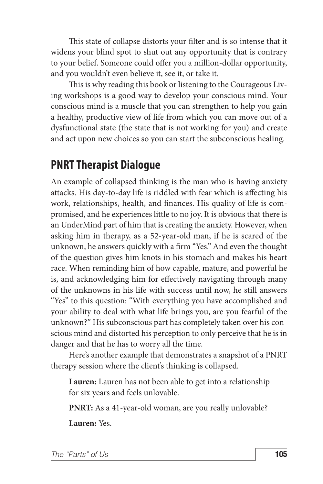This state of collapse distorts your filter and is so intense that it widens your blind spot to shut out any opportunity that is contrary to your belief. Someone could offer you a million-dollar opportunity, and you wouldn't even believe it, see it, or take it.

This is why reading this book or listening to the Courageous Living workshops is a good way to develop your conscious mind. Your conscious mind is a muscle that you can strengthen to help you gain a healthy, productive view of life from which you can move out of a dysfunctional state (the state that is not working for you) and create and act upon new choices so you can start the subconscious healing.

#### **PNRT Therapist Dialogue**

An example of collapsed thinking is the man who is having anxiety attacks. His day-to-day life is riddled with fear which is affecting his work, relationships, health, and finances. His quality of life is compromised, and he experiences little to no joy. It is obvious that there is an UnderMind part of him that is creating the anxiety. However, when asking him in therapy, as a 52-year-old man, if he is scared of the unknown, he answers quickly with a firm "Yes." And even the thought of the question gives him knots in his stomach and makes his heart race. When reminding him of how capable, mature, and powerful he is, and acknowledging him for effectively navigating through many of the unknowns in his life with success until now, he still answers "Yes" to this question: "With everything you have accomplished and your ability to deal with what life brings you, are you fearful of the unknown?" His subconscious part has completely taken over his conscious mind and distorted his perception to only perceive that he is in danger and that he has to worry all the time.

Here's another example that demonstrates a snapshot of a PNRT therapy session where the client's thinking is collapsed.

**Lauren:** Lauren has not been able to get into a relationship for six years and feels unlovable.

**PNRT:** As a 41-year-old woman, are you really unlovable?

**Lauren:** Yes.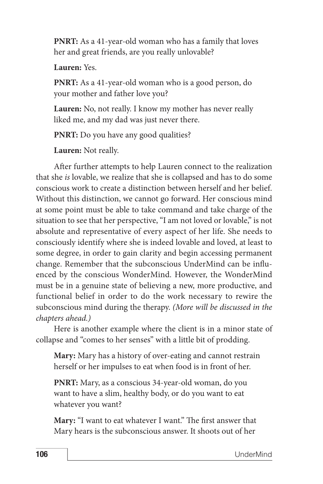**PNRT:** As a 41-year-old woman who has a family that loves her and great friends, are you really unlovable?

**Lauren:** Yes.

**PNRT:** As a 41-year-old woman who is a good person, do your mother and father love you?

**Lauren:** No, not really. I know my mother has never really liked me, and my dad was just never there.

**PNRT:** Do you have any good qualities?

**Lauren:** Not really.

After further attempts to help Lauren connect to the realization that she *is* lovable, we realize that she is collapsed and has to do some conscious work to create a distinction between herself and her belief. Without this distinction, we cannot go forward. Her conscious mind at some point must be able to take command and take charge of the situation to see that her perspective, "I am not loved or lovable," is not absolute and representative of every aspect of her life. She needs to consciously identify where she is indeed lovable and loved, at least to some degree, in order to gain clarity and begin accessing permanent change. Remember that the subconscious UnderMind can be influenced by the conscious WonderMind. However, the WonderMind must be in a genuine state of believing a new, more productive, and functional belief in order to do the work necessary to rewire the subconscious mind during the therapy. *(More will be discussed in the chapters ahead.)*

Here is another example where the client is in a minor state of collapse and "comes to her senses" with a little bit of prodding.

**Mary:** Mary has a history of over-eating and cannot restrain herself or her impulses to eat when food is in front of her.

**PNRT:** Mary, as a conscious 34-year-old woman, do you want to have a slim, healthy body, or do you want to eat whatever you want?

**Mary:** "I want to eat whatever I want." The first answer that Mary hears is the subconscious answer. It shoots out of her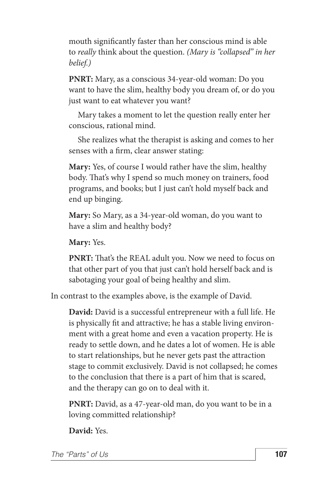mouth significantly faster than her conscious mind is able to *really* think about the question. *(Mary is "collapsed" in her belief.)*

**PNRT:** Mary, as a conscious 34-year-old woman: Do you want to have the slim, healthy body you dream of, or do you just want to eat whatever you want?

Mary takes a moment to let the question really enter her conscious, rational mind.

She realizes what the therapist is asking and comes to her senses with a firm, clear answer stating:

**Mary:** Yes, of course I would rather have the slim, healthy body. That's why I spend so much money on trainers, food programs, and books; but I just can't hold myself back and end up binging.

**Mary:** So Mary, as a 34-year-old woman, do you want to have a slim and healthy body?

**Mary:** Yes.

**PNRT:** That's the REAL adult you. Now we need to focus on that other part of you that just can't hold herself back and is sabotaging your goal of being healthy and slim.

In contrast to the examples above, is the example of David.

**David:** David is a successful entrepreneur with a full life. He is physically fit and attractive; he has a stable living environment with a great home and even a vacation property. He is ready to settle down, and he dates a lot of women. He is able to start relationships, but he never gets past the attraction stage to commit exclusively. David is not collapsed; he comes to the conclusion that there is a part of him that is scared, and the therapy can go on to deal with it.

**PNRT:** David, as a 47-year-old man, do you want to be in a loving committed relationship?

**David:** Yes.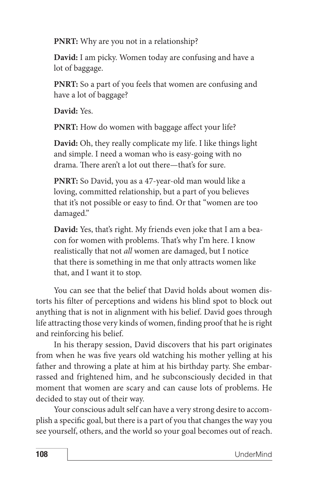**PNRT:** Why are you not in a relationship?

**David:** I am picky. Women today are confusing and have a lot of baggage.

**PNRT:** So a part of you feels that women are confusing and have a lot of baggage?

**David:** Yes.

**PNRT:** How do women with baggage affect your life?

**David:** Oh, they really complicate my life. I like things light and simple. I need a woman who is easy-going with no drama. There aren't a lot out there—that's for sure.

**PNRT:** So David, you as a 47-year-old man would like a loving, committed relationship, but a part of you believes that it's not possible or easy to find. Or that "women are too damaged."

**David:** Yes, that's right. My friends even joke that I am a beacon for women with problems. That's why I'm here. I know realistically that not *all* women are damaged, but I notice that there is something in me that only attracts women like that, and I want it to stop.

You can see that the belief that David holds about women distorts his filter of perceptions and widens his blind spot to block out anything that is not in alignment with his belief. David goes through life attracting those very kinds of women, finding proof that he is right and reinforcing his belief.

In his therapy session, David discovers that his part originates from when he was five years old watching his mother yelling at his father and throwing a plate at him at his birthday party. She embarrassed and frightened him, and he subconsciously decided in that moment that women are scary and can cause lots of problems. He decided to stay out of their way.

Your conscious adult self can have a very strong desire to accomplish a specific goal, but there is a part of you that changes the way you see yourself, others, and the world so your goal becomes out of reach.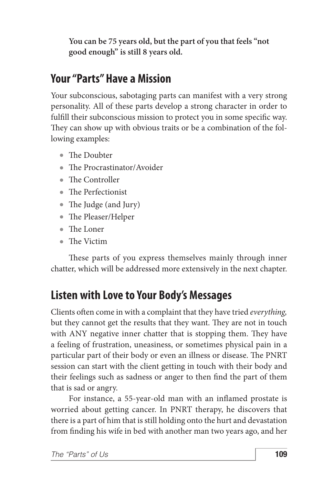**You can be 75 years old, but the part of you that feels "not good enough" is still 8 years old.**

# **Your "Parts" Have a Mission**

Your subconscious, sabotaging parts can manifest with a very strong personality. All of these parts develop a strong character in order to fulfill their subconscious mission to protect you in some specific way. They can show up with obvious traits or be a combination of the following examples:

- The Doubter
- The Procrastinator/Avoider
- The Controller
- The Perfectionist
- The Judge (and Jury)
- The Pleaser/Helper
- The Loner
- The Victim

These parts of you express themselves mainly through inner chatter, which will be addressed more extensively in the next chapter.

# **Listen with Love to Your Body's Messages**

Clients often come in with a complaint that they have tried *everything,* but they cannot get the results that they want. They are not in touch with ANY negative inner chatter that is stopping them. They have a feeling of frustration, uneasiness, or sometimes physical pain in a particular part of their body or even an illness or disease. The PNRT session can start with the client getting in touch with their body and their feelings such as sadness or anger to then find the part of them that is sad or angry.

For instance, a 55-year-old man with an inflamed prostate is worried about getting cancer. In PNRT therapy, he discovers that there is a part of him that is still holding onto the hurt and devastation from finding his wife in bed with another man two years ago, and her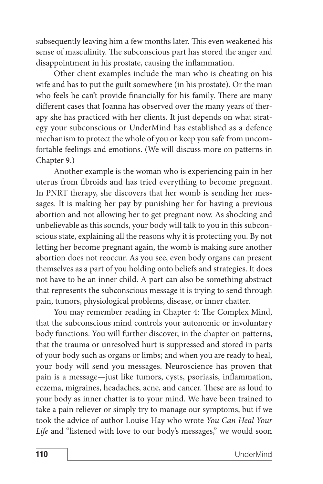subsequently leaving him a few months later. This even weakened his sense of masculinity. The subconscious part has stored the anger and disappointment in his prostate, causing the inflammation.

Other client examples include the man who is cheating on his wife and has to put the guilt somewhere (in his prostate). Or the man who feels he can't provide financially for his family. There are many different cases that Joanna has observed over the many years of therapy she has practiced with her clients. It just depends on what strategy your subconscious or UnderMind has established as a defence mechanism to protect the whole of you or keep you safe from uncomfortable feelings and emotions. (We will discuss more on patterns in Chapter 9.)

Another example is the woman who is experiencing pain in her uterus from fibroids and has tried everything to become pregnant. In PNRT therapy, she discovers that her womb is sending her messages. It is making her pay by punishing her for having a previous abortion and not allowing her to get pregnant now. As shocking and unbelievable as this sounds, your body will talk to you in this subconscious state, explaining all the reasons why it is protecting you. By not letting her become pregnant again, the womb is making sure another abortion does not reoccur. As you see, even body organs can present themselves as a part of you holding onto beliefs and strategies. It does not have to be an inner child. A part can also be something abstract that represents the subconscious message it is trying to send through pain, tumors, physiological problems, disease, or inner chatter.

You may remember reading in Chapter 4: The Complex Mind, that the subconscious mind controls your autonomic or involuntary body functions. You will further discover, in the chapter on patterns, that the trauma or unresolved hurt is suppressed and stored in parts of your body such as organs or limbs; and when you are ready to heal, your body will send you messages. Neuroscience has proven that pain is a message—just like tumors, cysts, psoriasis, inflammation, eczema, migraines, headaches, acne, and cancer. These are as loud to your body as inner chatter is to your mind. We have been trained to take a pain reliever or simply try to manage our symptoms, but if we took the advice of author Louise Hay who wrote *You Can Heal Your*  Life and "listened with love to our body's messages," we would soon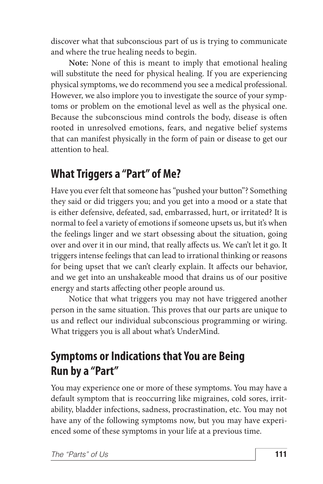discover what that subconscious part of us is trying to communicate and where the true healing needs to begin.

**Note:** None of this is meant to imply that emotional healing will substitute the need for physical healing. If you are experiencing physical symptoms, we do recommend you see a medical professional. However, we also implore you to investigate the source of your symptoms or problem on the emotional level as well as the physical one. Because the subconscious mind controls the body, disease is often rooted in unresolved emotions, fears, and negative belief systems that can manifest physically in the form of pain or disease to get our attention to heal.

#### **What Triggers a "Part" of Me?**

Have you ever felt that someone has "pushed your button"? Something they said or did triggers you; and you get into a mood or a state that is either defensive, defeated, sad, embarrassed, hurt, or irritated? It is normal to feel a variety of emotions if someone upsets us, but it's when the feelings linger and we start obsessing about the situation, going over and over it in our mind, that really affects us. We can't let it go. It triggers intense feelings that can lead to irrational thinking or reasons for being upset that we can't clearly explain. It affects our behavior, and we get into an unshakeable mood that drains us of our positive energy and starts affecting other people around us.

Notice that what triggers you may not have triggered another person in the same situation. This proves that our parts are unique to us and reflect our individual subconscious programming or wiring. What triggers you is all about what's UnderMind.

# **Symptoms or Indications that You are Being Run by a "Part"**

You may experience one or more of these symptoms. You may have a default symptom that is reoccurring like migraines, cold sores, irritability, bladder infections, sadness, procrastination, etc. You may not have any of the following symptoms now, but you may have experienced some of these symptoms in your life at a previous time.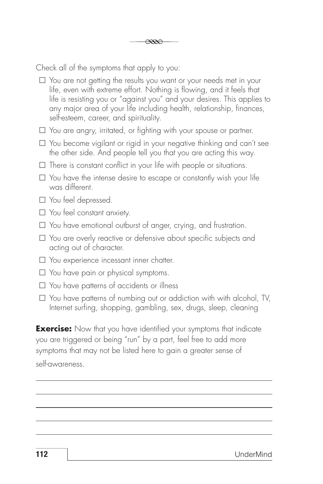Check all of the symptoms that apply to you:

- $\square$  You are not getting the results you want or your needs met in your life, even with extreme effort. Nothing is flowing, and it feels that life is resisting you or "against you" and your desires. This applies to any major area of your life including health, relationship, finances, self-esteem, career, and spirituality.
- $\square$  You are angry, irritated, or fighting with your spouse or partner.
- $\square$  You become vigilant or rigid in your negative thinking and can't see the other side. And people tell you that you are acting this way.
- $\square$  There is constant conflict in your life with people or situations.
- $\square$  You have the intense desire to escape or constantly wish your life was different.
- $\square$  You feel depressed.
- $\square$  You feel constant anxiety.
- £ You have emotional outburst of anger, crying, and frustration.
- □ You are overly reactive or defensive about specific subjects and acting out of character.
- $\square$  You experience incessant inner chatter.
- $\square$  You have pain or physical symptoms.
- $\square$  You have patterns of accidents or illness
- $\square$  You have patterns of numbing out or addiction with with alcohol, TV, Internet surfing, shopping, gambling, sex, drugs, sleep, cleaning

**Exercise:** Now that you have identified your symptoms that indicate you are triggered or being "run" by a part, feel free to add more symptoms that may not be listed here to gain a greater sense of self-awareness.